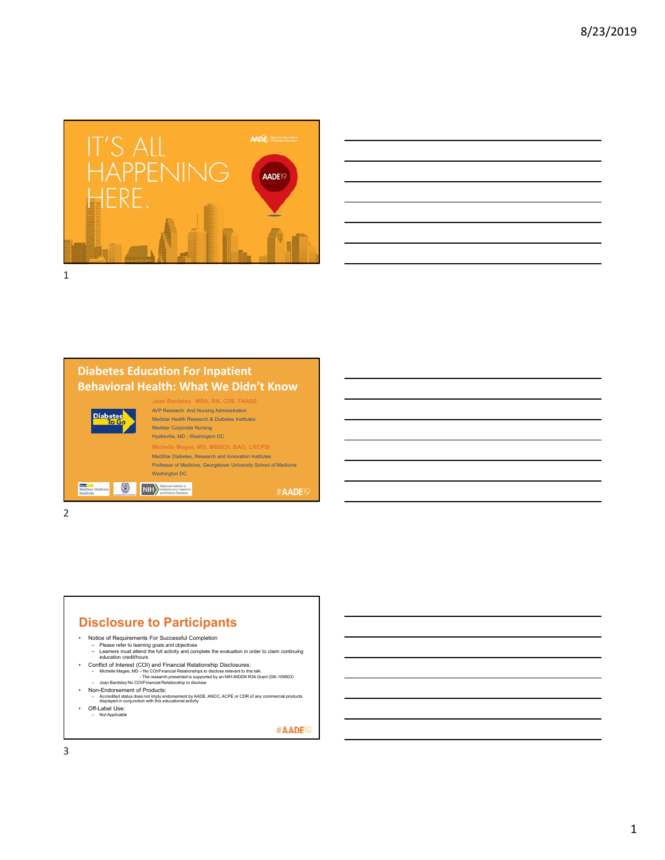

|  |  | the control of the control of the control of the control of the control of the control of the control of the control of the control of the control of the control of the control of the control of the control of the control        |                                                                          | <b>Service Contract</b> |
|--|--|--------------------------------------------------------------------------------------------------------------------------------------------------------------------------------------------------------------------------------------|--------------------------------------------------------------------------|-------------------------|
|  |  |                                                                                                                                                                                                                                      |                                                                          |                         |
|  |  | and the contract of the contract of the contract of the contract of the contract of the contract of the contract of                                                                                                                  |                                                                          |                         |
|  |  |                                                                                                                                                                                                                                      | <b>在这里的一个人,我们的人们就是一个人的人,我们的人们就是一个人的人,我们的人们就是一个人的人,我们的人们就是一个人的人,我们的人们</b> |                         |
|  |  | <u>and the second control of the second control of the second control of the second control of the second control of the second control of the second control of the second control of the second control of the second control </u> |                                                                          | _______                 |
|  |  |                                                                                                                                                                                                                                      |                                                                          |                         |
|  |  | <u> 1989 - Johann Stoff, amerikansk politiker (d. 1989)</u>                                                                                                                                                                          |                                                                          |                         |
|  |  |                                                                                                                                                                                                                                      |                                                                          |                         |

# **Diabetes Education For Inpatient Behavioral Health: What We Didn't Know**

| MedStar Diabetes<br>metitute | $\#$ <b>AADE</b>                                                |  |
|------------------------------|-----------------------------------------------------------------|--|
|                              | <b>Washington DC</b>                                            |  |
|                              | Professor of Medicine, Georgetown University School of Medicine |  |
|                              | MedStar Diabetes, Research and Innovation Institutes            |  |
|                              | Michelle Magee, MD, MBBCh, BAO, LRCPSI                          |  |
|                              | Hyattsville, MD; Washington DC                                  |  |
|                              | <b>Medstar Corporate Nursing</b>                                |  |
| <b>Diabetes</b>              | Medstar Health Research & Diabetes Institutes                   |  |
|                              | <b>AVP Research And Nursing Administration</b>                  |  |
|                              | Joan Bardsley, MBA, RN, CDE, FAADE                              |  |
|                              |                                                                 |  |

2

## **Disclosure to Participants**

- -
- Notice of Requirements For Successful Completion Please refer to learning goals and objectives Learners must attend the full activity and complete the evaluation in order to claim continuing education credit/hours
	-
- Conflict of Interest (COI) and Financial Relationship Disclosures:<br>Financial Michelle Magee, MD No COl/Financial Relationships to disclose relevant to this talk.<br>- Joan Bardsley No COl/Financial Relationship to disclo
- 
- Non-Endorsement of Products: Accredited status does not imply endorsement by AADE, ANCC, ACPE or CDR of any commercial products displayed in conjunction with this educational activity
- Off-Label Use:
- Not Applicable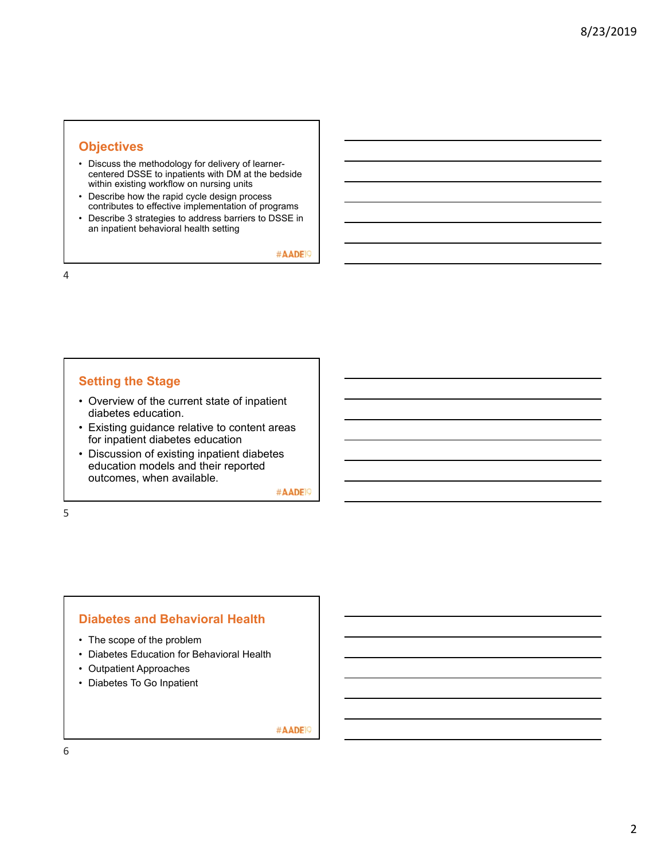# **Objectives**

- Discuss the methodology for delivery of learnercentered DSSE to inpatients with DM at the bedside within existing workflow on nursing units
- Describe how the rapid cycle design process contributes to effective implementation of programs
- Describe 3 strategies to address barriers to DSSE in an inpatient behavioral health setting

#AADE<sup>19</sup>

4

# **Setting the Stage**

- Overview of the current state of inpatient diabetes education.
- Existing guidance relative to content areas for inpatient diabetes education
- Discussion of existing inpatient diabetes education models and their reported outcomes, when available.

#AADE<sup>19</sup>

5

### **Diabetes and Behavioral Health**

- The scope of the problem
- Diabetes Education for Behavioral Health
- Outpatient Approaches
- Diabetes To Go Inpatient

#AADE<sup>19</sup>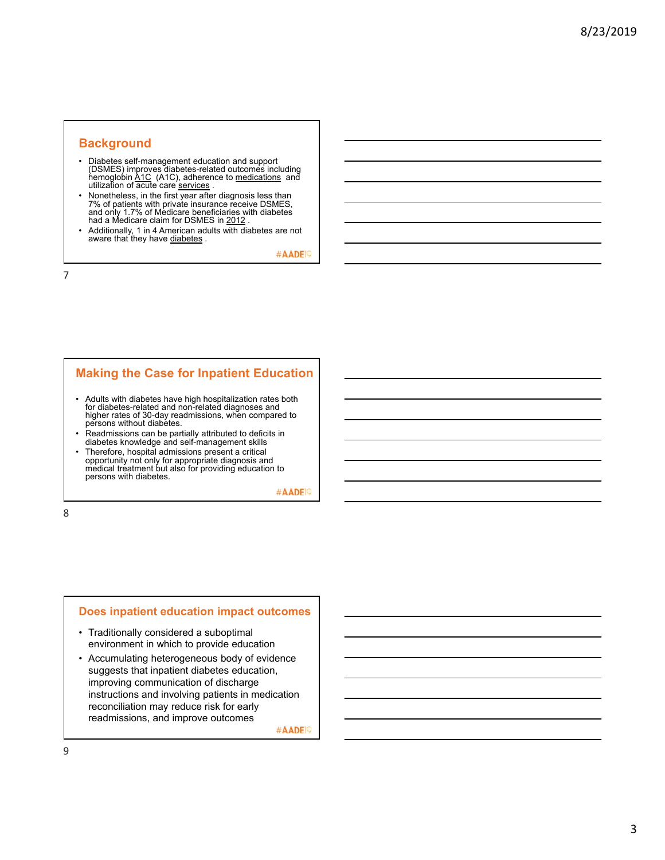### **Background**

- Diabetes self-management education and support (DSMES) improves diabetes-related outcomes including hemoglobin A1C (A1C), adherence to medications and utilization of acute care services.
- Nonetheless, in the first year after diagnosis less than 7% of patients with private insurance receive DSMES, and only 1.7% of Medicare beneficiaries with diabetes<br>had a Medicare claim for DSMES in <u>2012</u> .
- Additionally, 1 in 4 American adults with diabetes are not aware that they have diabetes.

#AADE<sup>O</sup>

7

## **Making the Case for Inpatient Education**

- Adults with diabetes have high hospitalization rates both for diabetes-related and non-related diagnoses and higher rates of 30-day readmissions, when compared to persons without diabetes.
- Readmissions can be partially attributed to deficits in diabetes knowledge and self-management skills
- Therefore, hospital admissions present a critical opportunity not only for appropriate diagnosis and medical treatment but also for providing education to persons with diabetes.

#AADE<sup>19</sup>

8

### **Does inpatient education impact outcomes**

- Traditionally considered a suboptimal environment in which to provide education
- Accumulating heterogeneous body of evidence suggests that inpatient diabetes education, improving communication of discharge instructions and involving patients in medication reconciliation may reduce risk for early readmissions, and improve outcomes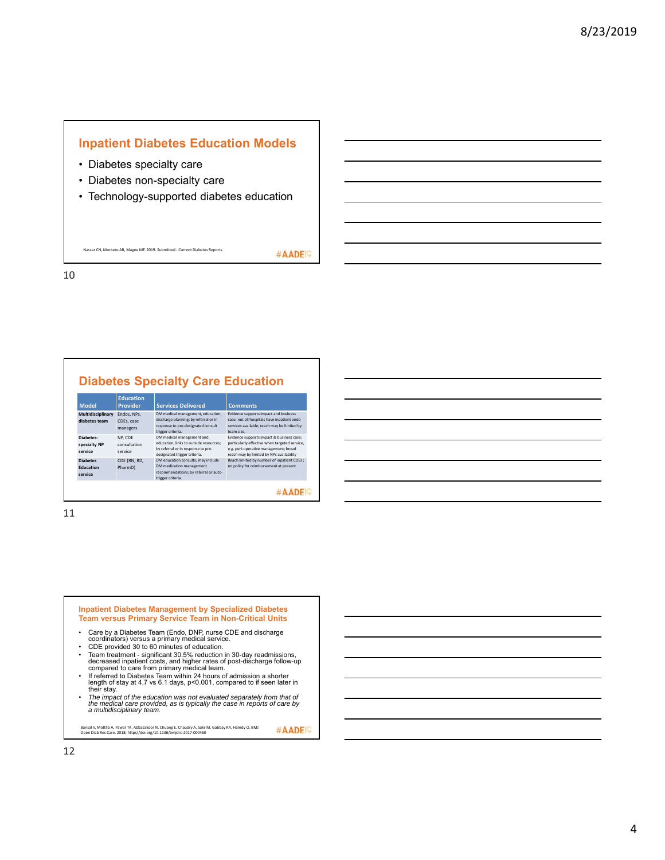# **Inpatient Diabetes Education Models**

- Diabetes specialty care
- Diabetes non-specialty care
- Technology-supported diabetes education

Nassar CN, Montero AR, Magee MF. 2019. Submitted ‐ Current Diabetes Reports

#AADE<sup>19</sup>

10

# **Diabetes Specialty Care Education**

| <b>Model</b>                                   | <b>Education</b><br><b>Provider</b>   | <b>Services Delivered</b>                                                                                                                 | <b>Comments</b>                                                                                                                                                                 |
|------------------------------------------------|---------------------------------------|-------------------------------------------------------------------------------------------------------------------------------------------|---------------------------------------------------------------------------------------------------------------------------------------------------------------------------------|
| Multidisciplinary<br>diabetes team             | Endos, NPs.<br>CDEs, case<br>managers | DM medical management, education,<br>discharge planning; by referral or in<br>response to pre-designated consult<br>trigger criteria.     | Evidence supports impact and business<br>case: not all hospitals have inpatient endo<br>services available: reach may be limited by<br>team size.                               |
| Diabetes-<br>specialty NP<br>service           | NP. CDE<br>consultation<br>service    | DM medical management and<br>education. links to outside resources:<br>by referral or in response to pre-<br>designated trigger criteria. | Evidence supports impact & business case;<br>particularly effective when targeted service,<br>e.g. peri-operative management; broad<br>reach may by limited by NPs availability |
| <b>Diabetes</b><br><b>Education</b><br>service | CDE (RN, RD,<br>PharmD)               | DM education consults; may include<br>DM medication management<br>recommendations; by referral or auto-<br>trigger criteria.              | Reach limited by number of inpatient CDEs;<br>no policy for reimbursement at present                                                                                            |
|                                                |                                       |                                                                                                                                           |                                                                                                                                                                                 |

11

# **Inpatient Diabetes Management by Specialized Diabetes Team versus Primary Service Team in Non-Critical Units**

- Care by a Diabetes Team (Endo, DNP, nurse CDE and discharge coordinators) versus a primary medical service.
- CDE provided 30 to 60 minutes of education.<br>• Team treatment significant 30.5% reduction in 30-day readmissions,<br>decreased inpatient costs, and higher rates of post-discharge follow-up<br>compared to care from primary med
- If referred to Diabetes Team within 24 hours of admission a shorter<br>length of stay at 4.7 vs 6.1 days, p<0.001, compared to if seen later in<br>their stay.
- *The impact of the education was not evaluated separately from that of the medical care provided, as is typically the case in reports of care by a multidisciplinary team.*

#AADE<sup>19</sup> Bansal V, Mottlib A, Pawar TK, Abbasakoor N, Chuang E, Chaudry A, Sakr M, Gabbay RA, Hamdy O. BMJ Open Diab Res Care. 2018; https//doi.org/10.1136/bmjdrc‐2017‐000460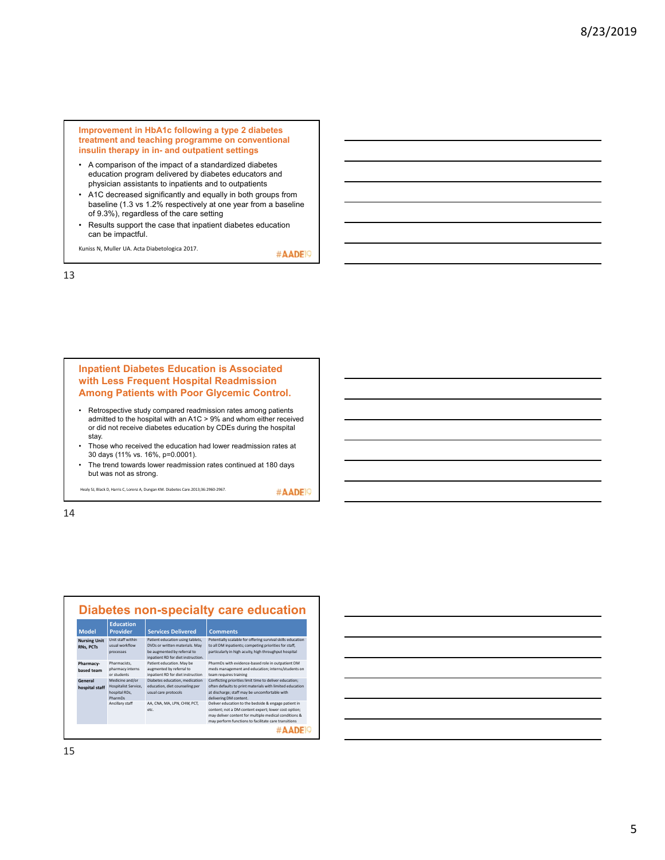**Improvement in HbA1c following a type 2 diabetes treatment and teaching programme on conventional insulin therapy in in- and outpatient settings**

- A comparison of the impact of a standardized diabetes education program delivered by diabetes educators and physician assistants to inpatients and to outpatients
- A1C decreased significantly and equally in both groups from baseline (1.3 vs 1.2% respectively at one year from a baseline of 9.3%), regardless of the care setting
- Results support the case that inpatient diabetes education can be impactful.

Kuniss N, Muller UA. Acta Diabetologica 2017.

#AADE<sup>19</sup>

13

### **Inpatient Diabetes Education is Associated with Less Frequent Hospital Readmission Among Patients with Poor Glycemic Control.**

- Retrospective study compared readmission rates among patients admitted to the hospital with an A1C > 9% and whom either received or did not receive diabetes education by CDEs during the hospital stay.
- Those who received the education had lower readmission rates at 30 days (11% vs. 16%, p=0.0001).
- The trend towards lower readmission rates continued at 180 days but was not as strong.

Healy SJ, Black D, Harris C, Lorenz A, Dungan KM. Diabetes Care.2013;36:2960‐2967.

#AADE<sup>19</sup>

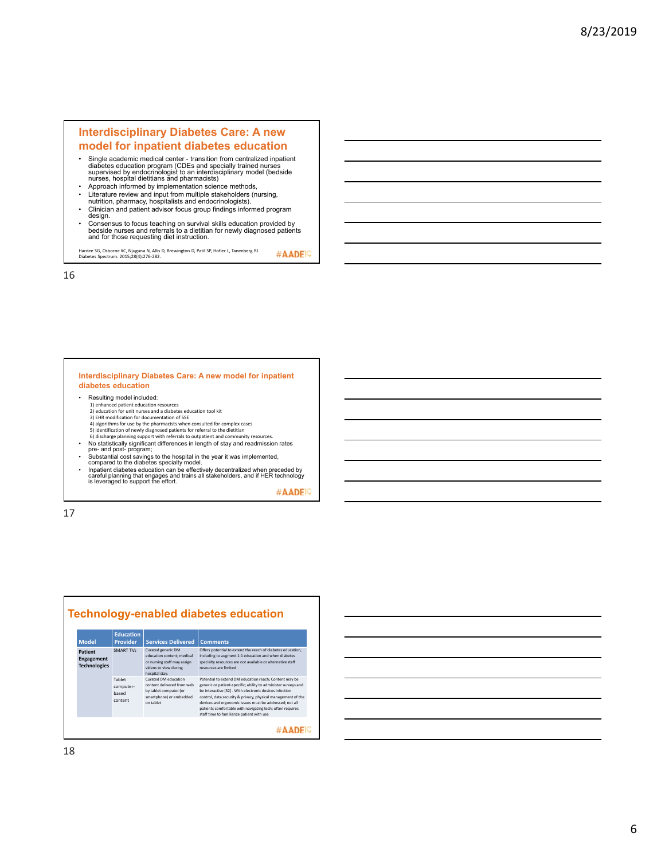### **Interdisciplinary Diabetes Care: A new model for inpatient diabetes education**

- Single academic medical center transition from centralized inpatient<br>diabetes education program (CDEs and specially trained nurses<br>supervised by endocrinologist to an interdisciplinary model (bedside<br>nurses, hospital d
- Approach informed by implementation science methods,<br>• Literature review and input from multiple stakeholders (n • Literature review and input from multiple stakeholders (nursing, nutrition, pharmacy, hospitalists and endocrinologists).
- Clinician and patient advisor focus group findings informed program design.
- Consensus to focus teaching on survival skills education provided by bedside nurses and referrals to a dietitian for newly diagnosed patients and for those requesting diet instruction.

Hardee SG, Osborne KC, Njuguna N, Allis D, Brewington D, Patil SP, Hofler L, Tanenberg RJ. Diabetes Spectrum. 2015;28(4):276‐282. #AADE<sup>O</sup>

16

### **Interdisciplinary Diabetes Care: A new model for inpatient diabetes education**

- Resulting model included: 1) enhanced patient education resources 2) education for unit nurses and a diabetes education tool kit 3) EHR modification for documentation of SSE<br>4) algorithms for use by the pharmacists when consulted for complex cases<br>5) identification of newly diagnosed patients for referral to the dietitian
- 6) discharge planning support with referrals to outpatient and community resources.<br>• No statistically significant differences in length of stay and readmission rates<br>• pre- and post- program;<br>• Substantial cost savings to
- 
- Inpatient diabetes education can be effectively decentralized when preceded by careful planning that engages and trains all stakeholders, and if HER technology is leveraged to support the effort.

#AADE<sup>19</sup>

17

#### **Technology-enabled diabetes education Education Model Provider Services Delivered Comments**<br>SMART TVs Curated generic DM Offers potential to **Patient**  SMART TV<sub>S</sub> Curated generic DM<br>
education content; medical<br>
or nursing staff may assign<br>
videos to view during<br>
videos to view during<br>
Tablet<br>
Tablet<br>
Curated OM education<br>
computer-<br>
content diviered from web<br>
based<br>
smar Offers potential to extend the reach of diabetes education, including to augment 1:1 education and when diabetes specialty resources are not available or alternative staff resources are limited **Engagement Technologies** Tablet Potential to extend DM education reach; Content may be<br>experience of patent-specific; ability to administer surveys and<br>be interactive [32] . With electronic devices infection<br>control, data security  $\beta$  privacy, physical computer‐ based content #AADE<sup>1</sup>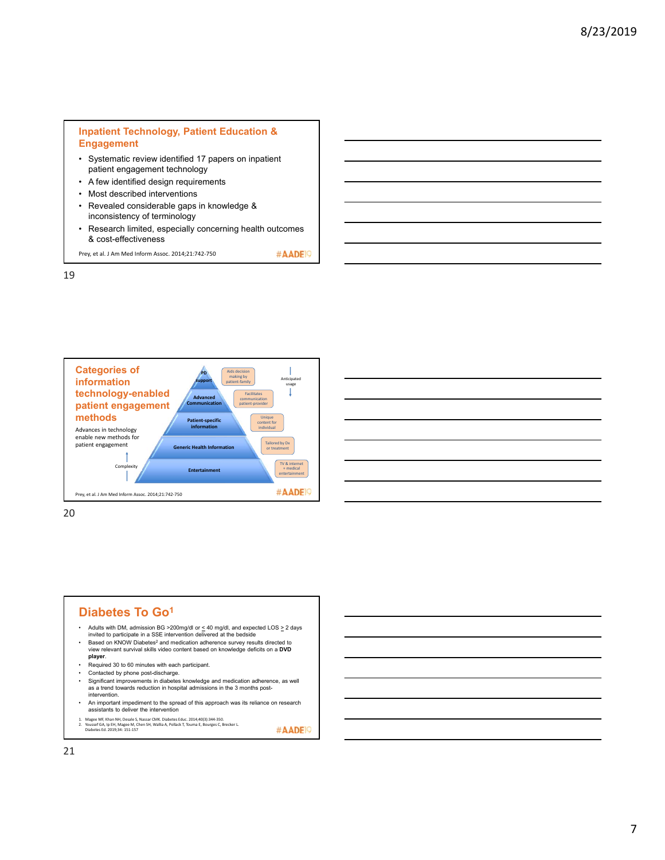

• Research limited, especially concerning health outcomes & cost-effectiveness

#AADE<sup>19</sup>

Prey, et al. J Am Med Inform Assoc. 2014;21:742‐750

19



20

## **Diabetes To Go1**

- Adults with DM, admission BG >200mg/dl or  $\leq 40$  mg/dl, and expected LOS  $\geq 2$  days invited to participate in a SSE intervention delivered at the bedside
- Based on KNOW Diabetes2 and medication adherence survey results directed to view relevant survival skills video content based on knowledge deficits on a **DVD player**.
- Required 30 to 60 minutes with each participant.<br>• Contacted by phone post-discharge
- Contacted by phone post-discharge.
- Significant improvements in diabetes knowledge and medication adherence, as well as a trend towards reduction in hospital admissions in the 3 months postintervention.
- An important impediment to the spread of this approach was its reliance on research assistants to deliver the intervention
- 1. Magee MF, Khan NH, Desale S, Nassar CMK. Diabetes Educ. 2014;40(3):344-350.<br>2. Youssef GA, Ip EH, Magee M, Chen SH, Wallia A, Pollack T, Touma E, Bourges C, Brecker L.<br>- Diabetes Ed. 2019;34: 151-157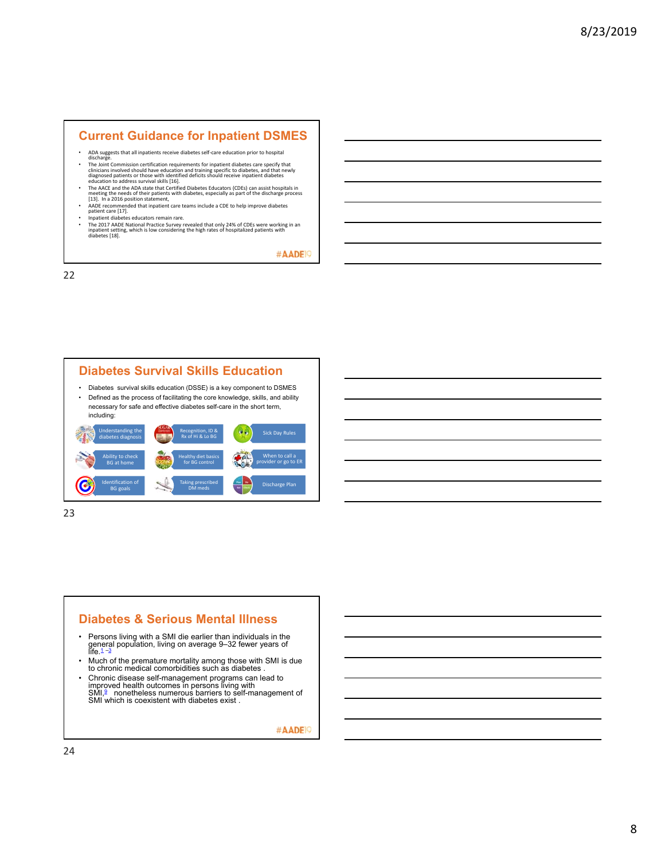### **Current Guidance for Inpatient DSMES**

- ADA suggests that all inpatients receive diabetes self‐care education prior to hospital discharge.
- The Joint Commission certification requirements for inpatient diabetes care specify that clinicians involved should have education and training specific to diabetes, and that newly diagnosed patients or those with identifi
- 
- 
- AADE recommended that inpatient care teams include a CDE to help improve diabetes<br>patient care [17].<br>• Inpatient diabetes educators remain rare.<br>• The 2017 AADE National Practice Survey revealed that only 24% of CDEs wer

#AADE<sup>19</sup>

22



23

# **Diabetes & Serious Mental Illness**

- ∙ Persons living with a SMI die earlier than individuals in the<br> general population, living on average 9–32 fewer years of<br>life.<sup>1 –</sup>3
- Much of the premature mortality among those with SMI is due to chronic medical comorbidities such as diabetes .
- Chronic disease self-management programs can lead to<br>improved health outcomes in persons living with<br>SMI,<sup>9</sup> nonetheless numerous barriers to self-management of<br>SMI which is coexistent with diabetes exist .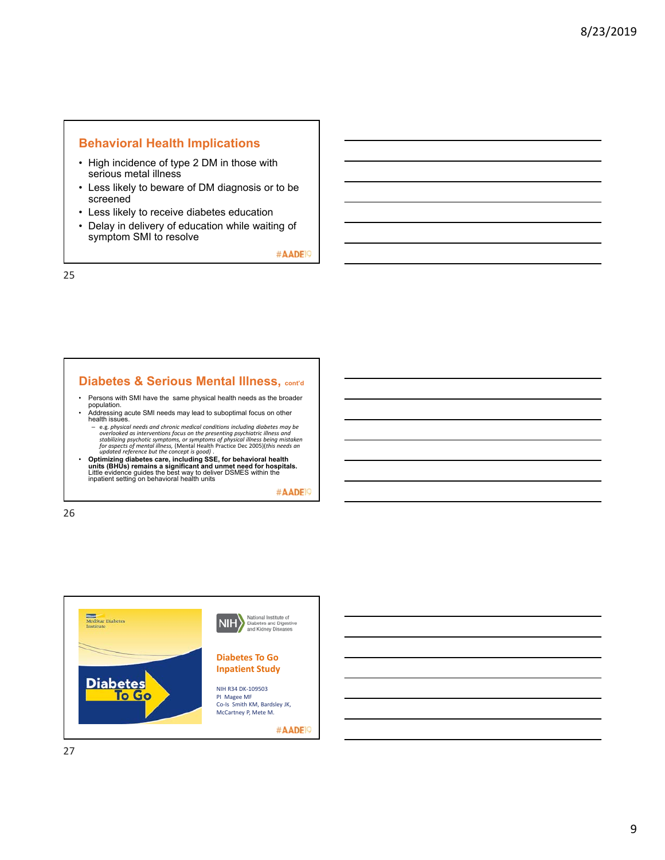### **Behavioral Health Implications**

- High incidence of type 2 DM in those with serious metal illness
- Less likely to beware of DM diagnosis or to be screened
- Less likely to receive diabetes education
- Delay in delivery of education while waiting of symptom SMI to resolve

#AADE<sup>19</sup>

25

### **Diabetes & Serious Mental Illness, cont'd**

- Persons with SMI have the same physical health needs as the broader<br>• Addressing acute SMI needs may lead to suboptimal focus on other<br>health issues.
- 
- e.g. *physical needs and chronic medical conditions including diabetes may be overlooked as interventions focus on the presenting psychiatric illness and stabilizing psychotic symptoms, or symptoms of physical illness being mistaken for aspects of mental illness,* (Mental Health Practice Dec 2005)(*this needs an updated reference but the concept is good)* .
- Optimizing diabetes care, including SSE, for behavioral health<br>units (BHUs) remains a significant and unmet need for hospitals.<br>Little evidence guides the best way to deliver DSMES within the<br>inpatient setting on behavio

#AADE<sup>19</sup>

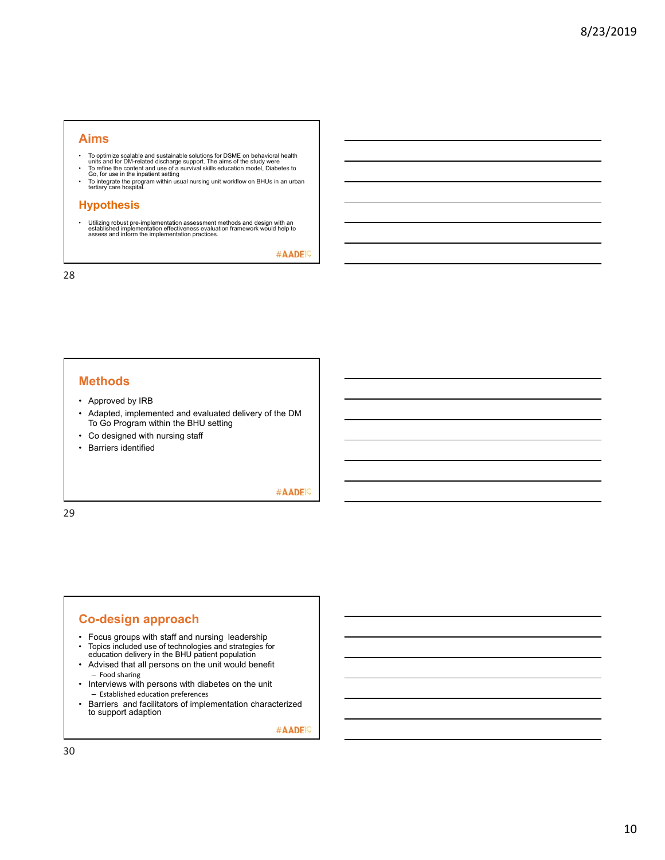### **Aims**

- 
- To optimize scalable and sustainable solutions for DSME on behavioral health<br>units and for DM-related discharge support. The aims of the study were<br>• To refine the content and use of a survival skills education model, Di
- To integrate the program within usual nursing unit workflow on BHUs in an urban tertiary care hospital.

### **Hypothesis**

• Utilizing robust pre-implementation assessment methods and design with an established implementation effectiveness evaluation framework would help to assess and inform the implementation practices.

#AADE<sup>19</sup>

28

### **Methods**

- Approved by IRB
- Adapted, implemented and evaluated delivery of the DM To Go Program within the BHU setting
- Co designed with nursing staff
- Barriers identified

#AADE<sup>19</sup>

29

### **Co-design approach**

- Focus groups with staff and nursing leadership
- Topics included use of technologies and strategies for education delivery in the BHU patient population
- Advised that all persons on the unit would benefit – Food sharing
- Interviews with persons with diabetes on the unit – Established education preferences
- Barriers and facilitators of implementation characterized to support adaption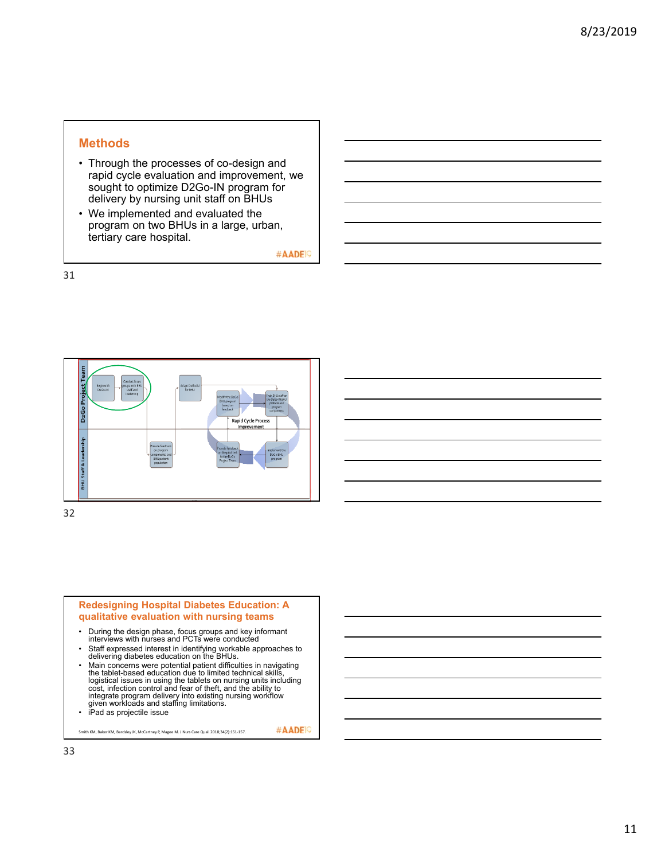### **Methods**

- Through the processes of co-design and rapid cycle evaluation and improvement, we sought to optimize D2Go-IN program for delivery by nursing unit staff on BHUs
- We implemented and evaluated the program on two BHUs in a large, urban, tertiary care hospital.

#AADE<sup>19</sup>

31



32



- During the design phase, focus groups and key informant interviews with nurses and PCTs were conducted
- Staff expressed interest in identifying workable approaches to delivering diabetes education on the BHUs.
- Main concerns were potential patient difficulties in navigating<br>the tablet-based education due to limited technical skills,<br>logistical issues in using the tablets on nursing units including<br>cost, infection control and fe integrate program delivery into existing nursing workflow given workloads and staffing limitations.
- iPad as projectile issue

Smith KM, Baker KM, Bardsley JK, McCartney P, Magee M. J Nurs Care Qual. 2018;34(2):151‐157.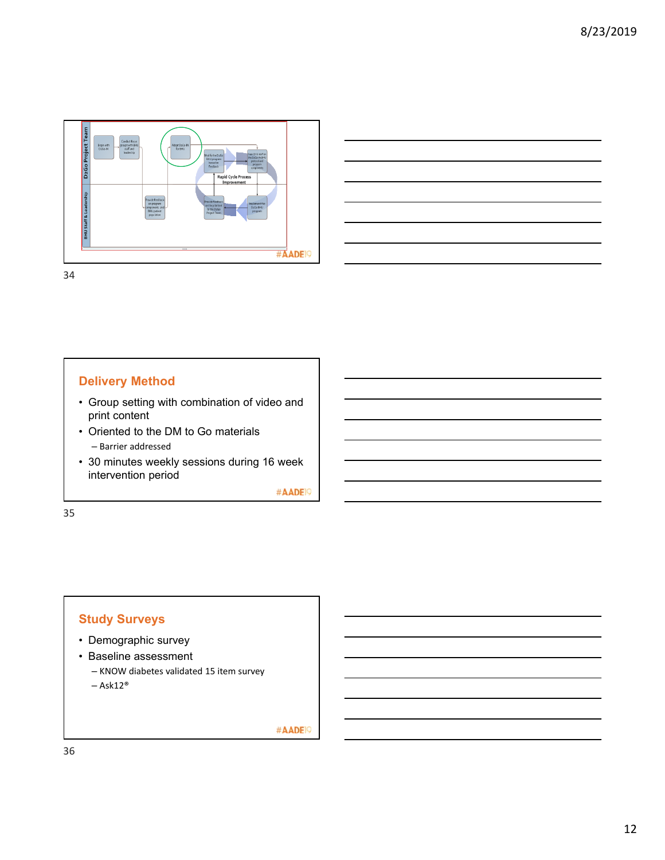



34

# **Delivery Method**

- Group setting with combination of video and print content
- Oriented to the DM to Go materials – Barrier addressed
- 30 minutes weekly sessions during 16 week intervention period

#AADE<sup>19</sup>

35

# **Study Surveys**

- Demographic survey
- Baseline assessment – KNOW diabetes validated 15 item survey  $-$  Ask12<sup>®</sup>

#AADE<sup>19</sup>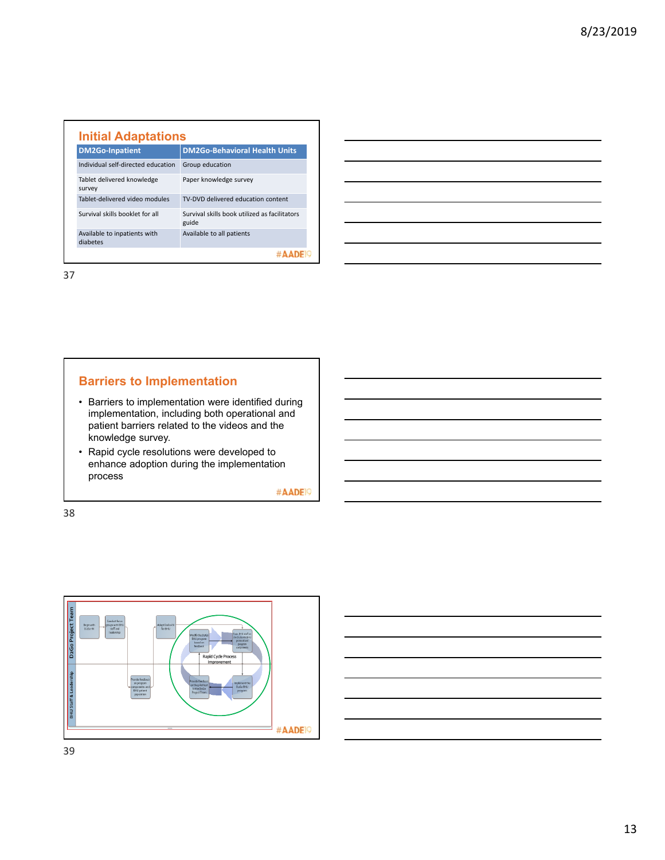| <b>DM2Go-Inpatient</b>                   | <b>DM2Go-Behavioral Health Units</b>                   |
|------------------------------------------|--------------------------------------------------------|
| Individual self-directed education       | Group education                                        |
| Tablet delivered knowledge<br>survey     | Paper knowledge survey                                 |
| Zahlet-delivered video modules           | TV-DVD delivered education content                     |
| Survival skills booklet for all          | Survival skills book utilized as facilitators<br>guide |
| Available to inpatients with<br>diabetes | Available to all patients                              |
|                                          |                                                        |

37

# **Barriers to Implementation**

- Barriers to implementation were identified during implementation, including both operational and patient barriers related to the videos and the knowledge survey.
- Rapid cycle resolutions were developed to enhance adoption during the implementation process

#AADE<sup>19</sup>



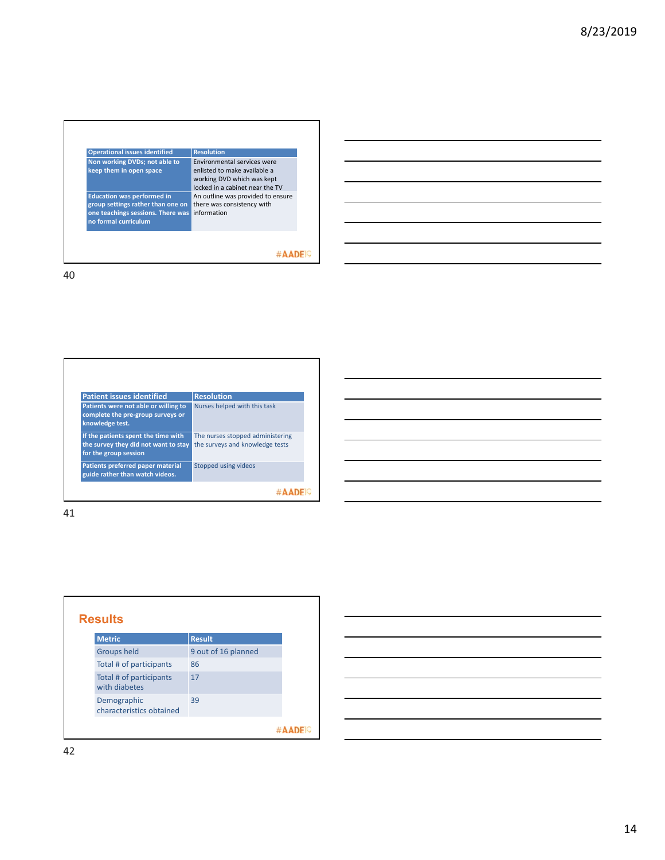| Environmental services were<br>Non working DVDs; not able to<br>enlisted to make available a<br>keep them in open space<br>working DVD which was kept<br>locked in a cabinet near the TV<br><b>Education was performed in</b> | <b>Operational issues identified</b> | <b>Resolution</b>                                               |
|-------------------------------------------------------------------------------------------------------------------------------------------------------------------------------------------------------------------------------|--------------------------------------|-----------------------------------------------------------------|
|                                                                                                                                                                                                                               |                                      |                                                                 |
| information<br>one teachings sessions. There was<br>no formal curriculum                                                                                                                                                      | group settings rather than one on    | An outline was provided to ensure<br>there was consistency with |
|                                                                                                                                                                                                                               |                                      |                                                                 |

**Patient issues identified Resolution Patients were not able or willing to complete the pre‐group surveys or knowledge test.** Nurses helped with this task **If the patients spent the time with the survey they did not want to stay for the group session** The nurses stopped administering the surveys and knowledge tests **Stopped using videos Patients preferred paper material guide rather than watch videos.**  #AADE<sup>19</sup>

| <b>Results</b> |                                          |                     |  |  |  |  |
|----------------|------------------------------------------|---------------------|--|--|--|--|
|                | <b>Metric</b>                            | <b>Result</b>       |  |  |  |  |
|                | <b>Groups held</b>                       | 9 out of 16 planned |  |  |  |  |
|                | Total # of participants                  | 86                  |  |  |  |  |
|                | Total # of participants<br>with diabetes | 17                  |  |  |  |  |
|                | Demographic<br>characteristics obtained  | 39                  |  |  |  |  |
|                |                                          |                     |  |  |  |  |

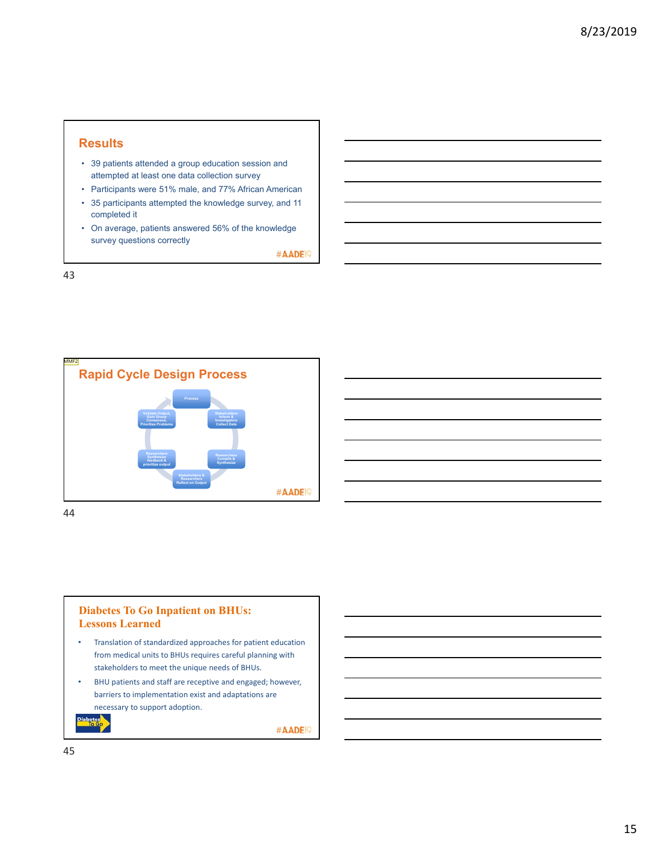### **Results**

- 39 patients attended a group education session and attempted at least one data collection survey
- Participants were 51% male, and 77% African American
- 35 participants attempted the knowledge survey, and 11 completed it
- On average, patients answered 56% of the knowledge survey questions correctly

#AADE<sup>19</sup>

43



44

### **Diabetes To Go Inpatient on BHUs: Lessons Learned**

- Translation of standardized approaches for patient education from medical units to BHUs requires careful planning with stakeholders to meet the unique needs of BHUs.
- BHU patients and staff are receptive and engaged; however, barriers to implementation exist and adaptations are necessary to support adoption.

#AADE<sup>19</sup>

45

Diabetes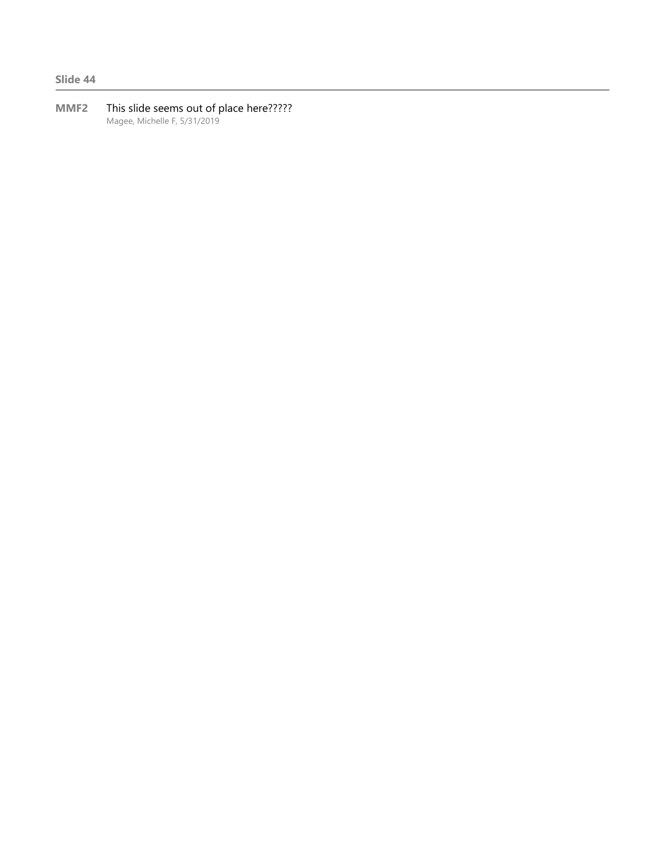**Slide 44**

**MMF2** This slide seems out of place here????? Magee, Michelle F, 5/31/2019